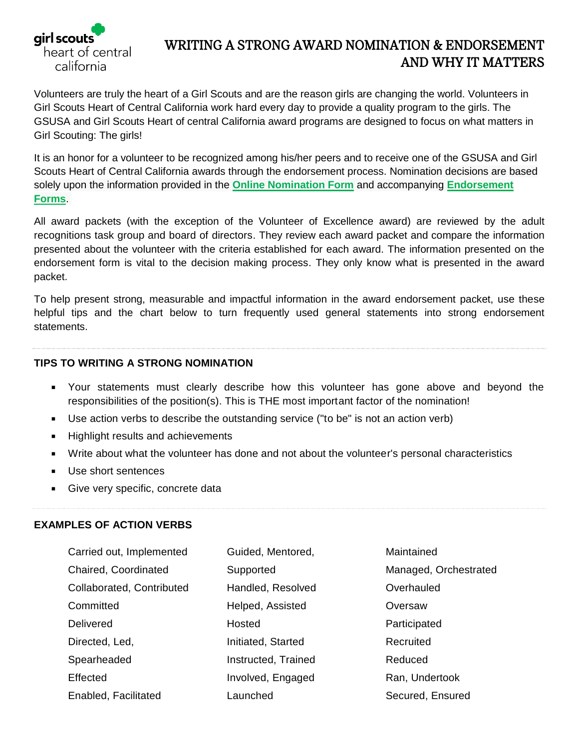

## WRITING A STRONG AWARD NOMINATION & ENDORSEMENT AND WHY IT MATTERS

Volunteers are truly the heart of a Girl Scouts and are the reason girls are changing the world. Volunteers in Girl Scouts Heart of Central California work hard every day to provide a quality program to the girls. The GSUSA and Girl Scouts Heart of central California award programs are designed to focus on what matters in Girl Scouting: The girls!

It is an honor for a volunteer to be recognized among his/her peers and to receive one of the GSUSA and Girl Scouts Heart of Central California awards through the endorsement process. Nomination decisions are based solely upon the information provided in the **[Online Nomination Form](https://gshcc.wufoo.com/forms/mf0xub3140w6a0/)** and accompanying **[Endorsement](https://gshcc.wufoo.com/forms/m2clsfk1b0bbar/)  [Forms](https://gshcc.wufoo.com/forms/m2clsfk1b0bbar/)**.

All award packets (with the exception of the Volunteer of Excellence award) are reviewed by the adult recognitions task group and board of directors. They review each award packet and compare the information presented about the volunteer with the criteria established for each award. The information presented on the endorsement form is vital to the decision making process. They only know what is presented in the award packet.

To help present strong, measurable and impactful information in the award endorsement packet, use these helpful tips and the chart below to turn frequently used general statements into strong endorsement statements.

## **TIPS TO WRITING A STRONG NOMINATION**

- Your statements must clearly describe how this volunteer has gone above and beyond the responsibilities of the position(s). This is THE most important factor of the nomination!
- Use action verbs to describe the outstanding service ("to be" is not an action verb)
- **Highlight results and achievements**
- Write about what the volunteer has done and not about the volunteer's personal characteristics
- Use short sentences
- Give very specific, concrete data

## **EXAMPLES OF ACTION VERBS**

| Carried out, Implemented  | Guided, Mentored,   | Maintained            |
|---------------------------|---------------------|-----------------------|
| Chaired, Coordinated      | Supported           | Managed, Orchestrated |
| Collaborated, Contributed | Handled, Resolved   | Overhauled            |
| Committed                 | Helped, Assisted    | Oversaw               |
| Delivered                 | Hosted              | Participated          |
| Directed, Led,            | Initiated, Started  | Recruited             |
| Spearheaded               | Instructed, Trained | Reduced               |
| Effected                  | Involved, Engaged   | Ran, Undertook        |
| Enabled, Facilitated      | Launched            | Secured, Ensured      |